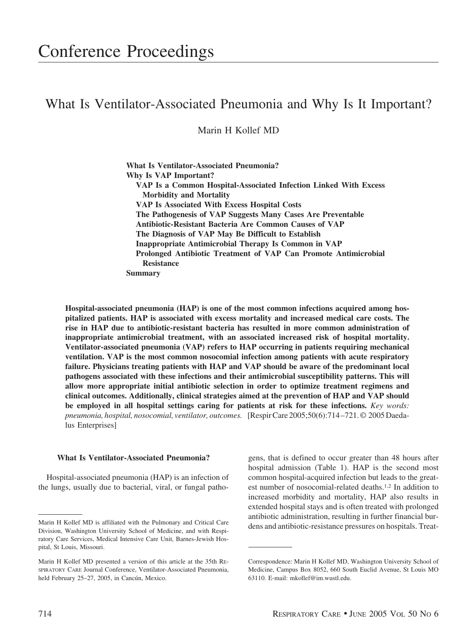# What Is Ventilator-Associated Pneumonia and Why Is It Important?

Marin H Kollef MD

**What Is Ventilator-Associated Pneumonia? Why Is VAP Important? VAP Is a Common Hospital-Associated Infection Linked With Excess Morbidity and Mortality VAP Is Associated With Excess Hospital Costs The Pathogenesis of VAP Suggests Many Cases Are Preventable Antibiotic-Resistant Bacteria Are Common Causes of VAP The Diagnosis of VAP May Be Difficult to Establish Inappropriate Antimicrobial Therapy Is Common in VAP Prolonged Antibiotic Treatment of VAP Can Promote Antimicrobial Resistance Summary**

**Hospital-associated pneumonia (HAP) is one of the most common infections acquired among hospitalized patients. HAP is associated with excess mortality and increased medical care costs. The rise in HAP due to antibiotic-resistant bacteria has resulted in more common administration of inappropriate antimicrobial treatment, with an associated increased risk of hospital mortality. Ventilator-associated pneumonia (VAP) refers to HAP occurring in patients requiring mechanical ventilation. VAP is the most common nosocomial infection among patients with acute respiratory failure. Physicians treating patients with HAP and VAP should be aware of the predominant local pathogens associated with these infections and their antimicrobial susceptibility patterns. This will allow more appropriate initial antibiotic selection in order to optimize treatment regimens and clinical outcomes. Additionally, clinical strategies aimed at the prevention of HAP and VAP should be employed in all hospital settings caring for patients at risk for these infections.** *Key words: pneumonia, hospital, nosocomial, ventilator, outcomes.* [Respir Care 2005;50(6):714 –721. © 2005 Daedalus Enterprises]

#### **What Is Ventilator-Associated Pneumonia?**

Hospital-associated pneumonia (HAP) is an infection of the lungs, usually due to bacterial, viral, or fungal patho-

gens, that is defined to occur greater than 48 hours after hospital admission (Table 1). HAP is the second most common hospital-acquired infection but leads to the greatest number of nosocomial-related deaths.1,2 In addition to increased morbidity and mortality, HAP also results in extended hospital stays and is often treated with prolonged antibiotic administration, resulting in further financial bur-

Marin H Kollef MD is affiliated with the Pulmonary and Critical Care dens and antibiotic-resistance pressures on hospitals. Treat-Division, Washington University School of Medicine, and with Respiratory Care Services, Medical Intensive Care Unit, Barnes-Jewish Hospital, St Louis, Missouri.

Marin H Kollef MD presented a version of this article at the 35th RE-SPIRATORY CARE Journal Conference, Ventilator-Associated Pneumonia, held February 25-27, 2005, in Cancún, Mexico.

Correspondence: Marin H Kollef MD, Washington University School of Medicine, Campus Box 8052, 660 South Euclid Avenue, St Louis MO 63110. E-mail: mkollef@im.wustl.edu.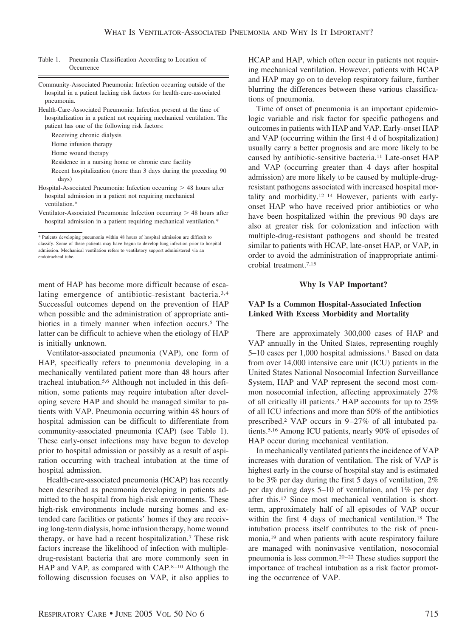#### Table 1. Pneumonia Classification According to Location of **Occurrence**

- Community-Associated Pneumonia: Infection occurring outside of the hospital in a patient lacking risk factors for health-care-associated pneumonia.
- Health-Care-Associated Pneumonia: Infection present at the time of hospitalization in a patient not requiring mechanical ventilation. The patient has one of the following risk factors:

Receiving chronic dialysis

Home infusion therapy

Home wound therapy

Residence in a nursing home or chronic care facility

Recent hospitalization (more than 3 days during the preceding 90 days)

- Hospital-Associated Pneumonia: Infection occurring  $> 48$  hours after hospital admission in a patient not requiring mechanical ventilation.\*
- Ventilator-Associated Pneumonia: Infection occurring  $> 48$  hours after hospital admission in a patient requiring mechanical ventilation.\*

ment of HAP has become more difficult because of escalating emergence of antibiotic-resistant bacteria.3,4 Successful outcomes depend on the prevention of HAP when possible and the administration of appropriate antibiotics in a timely manner when infection occurs.<sup>5</sup> The latter can be difficult to achieve when the etiology of HAP is initially unknown.

Ventilator-associated pneumonia (VAP), one form of HAP, specifically refers to pneumonia developing in a mechanically ventilated patient more than 48 hours after tracheal intubation.5,6 Although not included in this definition, some patients may require intubation after developing severe HAP and should be managed similar to patients with VAP. Pneumonia occurring within 48 hours of hospital admission can be difficult to differentiate from community-associated pneumonia (CAP) (see Table 1). These early-onset infections may have begun to develop prior to hospital admission or possibly as a result of aspiration occurring with tracheal intubation at the time of hospital admission.

Health-care-associated pneumonia (HCAP) has recently been described as pneumonia developing in patients admitted to the hospital from high-risk environments. These high-risk environments include nursing homes and extended care facilities or patients' homes if they are receiving long-term dialysis, home infusion therapy, home wound therapy, or have had a recent hospitalization.7 These risk factors increase the likelihood of infection with multipledrug-resistant bacteria that are more commonly seen in HAP and VAP, as compared with  $CAP.^{8-10}$  Although the following discussion focuses on VAP, it also applies to HCAP and HAP, which often occur in patients not requiring mechanical ventilation. However, patients with HCAP and HAP may go on to develop respiratory failure, further blurring the differences between these various classifications of pneumonia.

Time of onset of pneumonia is an important epidemiologic variable and risk factor for specific pathogens and outcomes in patients with HAP and VAP. Early-onset HAP and VAP (occurring within the first 4 d of hospitalization) usually carry a better prognosis and are more likely to be caused by antibiotic-sensitive bacteria.11 Late-onset HAP and VAP (occurring greater than 4 days after hospital admission) are more likely to be caused by multiple-drugresistant pathogens associated with increased hospital mortality and morbidity.12–14 However, patients with earlyonset HAP who have received prior antibiotics or who have been hospitalized within the previous 90 days are also at greater risk for colonization and infection with multiple-drug-resistant pathogens and should be treated similar to patients with HCAP, late-onset HAP, or VAP, in order to avoid the administration of inappropriate antimicrobial treatment.7,15

#### **Why Is VAP Important?**

# **VAP Is a Common Hospital-Associated Infection Linked With Excess Morbidity and Mortality**

There are approximately 300,000 cases of HAP and VAP annually in the United States, representing roughly 5–10 cases per 1,000 hospital admissions.1 Based on data from over 14,000 intensive care unit (ICU) patients in the United States National Nosocomial Infection Surveillance System, HAP and VAP represent the second most common nosocomial infection, affecting approximately 27% of all critically ill patients.2 HAP accounts for up to 25% of all ICU infections and more than 50% of the antibiotics prescribed.2 VAP occurs in 9 –27% of all intubated patients.5,16 Among ICU patients, nearly 90% of episodes of HAP occur during mechanical ventilation.

In mechanically ventilated patients the incidence of VAP increases with duration of ventilation. The risk of VAP is highest early in the course of hospital stay and is estimated to be 3% per day during the first 5 days of ventilation, 2% per day during days 5–10 of ventilation, and 1% per day after this.17 Since most mechanical ventilation is shortterm, approximately half of all episodes of VAP occur within the first 4 days of mechanical ventilation.<sup>18</sup> The intubation process itself contributes to the risk of pneumonia,19 and when patients with acute respiratory failure are managed with noninvasive ventilation, nosocomial pneumonia is less common.20 –22 These studies support the importance of tracheal intubation as a risk factor promoting the occurrence of VAP.

<sup>\*</sup> Patients developing pneumonia within 48 hours of hospital admission are difficult to classify. Some of these patients may have begun to develop lung infection prior to hospital admission. Mechanical ventilation refers to ventilatory support administered via an endotracheal tube.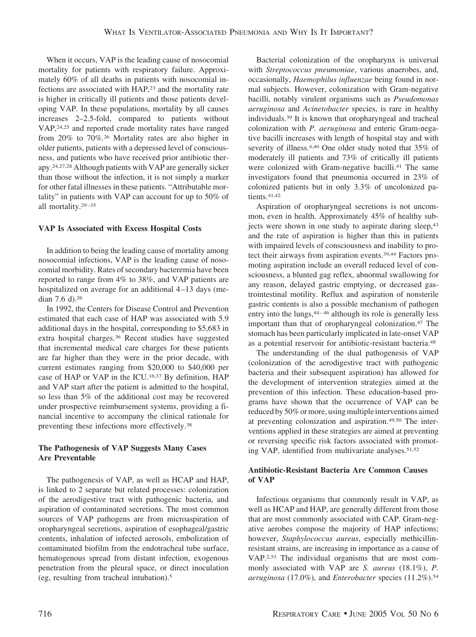When it occurs, VAP is the leading cause of nosocomial mortality for patients with respiratory failure. Approximately 60% of all deaths in patients with nosocomial infections are associated with HAP,23 and the mortality rate is higher in critically ill patients and those patients developing VAP. In these populations, mortality by all causes increases 2–2.5-fold, compared to patients without VAP,24,25 and reported crude mortality rates have ranged from 20% to 70%.26 Mortality rates are also higher in older patients, patients with a depressed level of consciousness, and patients who have received prior antibiotic therapy.24,27,28 Although patients with VAP are generally sicker than those without the infection, it is not simply a marker for other fatal illnesses in these patients. "Attributable mortality" in patients with VAP can account for up to 50% of all mortality.29 –35

## **VAP Is Associated with Excess Hospital Costs**

In addition to being the leading cause of mortality among nosocomial infections, VAP is the leading cause of nosocomial morbidity. Rates of secondary bacteremia have been reported to range from 4% to 38%, and VAP patients are hospitalized on average for an additional 4-13 days (median 7.6 d).26

In 1992, the Centers for Disease Control and Prevention estimated that each case of HAP was associated with 5.9 additional days in the hospital, corresponding to \$5,683 in extra hospital charges.36 Recent studies have suggested that incremental medical care charges for these patients are far higher than they were in the prior decade, with current estimates ranging from \$20,000 to \$40,000 per case of HAP or VAP in the ICU.16,37 By definition, HAP and VAP start after the patient is admitted to the hospital, so less than 5% of the additional cost may be recovered under prospective reimbursement systems, providing a financial incentive to accompany the clinical rationale for preventing these infections more effectively.38

# **The Pathogenesis of VAP Suggests Many Cases Are Preventable**

The pathogenesis of VAP, as well as HCAP and HAP, is linked to 2 separate but related processes: colonization of the aerodigestive tract with pathogenic bacteria, and aspiration of contaminated secretions. The most common sources of VAP pathogens are from microaspiration of oropharyngeal secretions, aspiration of esophageal/gastric contents, inhalation of infected aerosols, embolization of contaminated biofilm from the endotracheal tube surface, hematogenous spread from distant infection, exogenous penetration from the pleural space, or direct inoculation (eg, resulting from tracheal intubation).5

Bacterial colonization of the oropharynx is universal with *Streptococcus pneumoniae*, various anaerobes, and, occasionally, *Haemophilus influenzae* being found in normal subjects. However, colonization with Gram-negative bacilli, notably virulent organisms such as *Pseudomonas aeruginosa* and *Acinetobacter* species, is rare in healthy individuals.39 It is known that oropharyngeal and tracheal colonization with *P. aeruginosa* and enteric Gram-negative bacilli increases with length of hospital stay and with severity of illness.4,40 One older study noted that 35% of moderately ill patients and 73% of critically ill patients were colonized with Gram-negative bacilli.<sup>41</sup> The same investigators found that pneumonia occurred in 23% of colonized patients but in only 3.3% of uncolonized patients.<sup>41,42</sup>

Aspiration of oropharyngeal secretions is not uncommon, even in health. Approximately 45% of healthy subjects were shown in one study to aspirate during sleep,<sup>43</sup> and the rate of aspiration is higher than this in patients with impaired levels of consciousness and inability to protect their airways from aspiration events.39,44 Factors promoting aspiration include an overall reduced level of consciousness, a blunted gag reflex, abnormal swallowing for any reason, delayed gastric emptying, or decreased gastrointestinal motility. Reflux and aspiration of nonsterile gastric contents is also a possible mechanism of pathogen entry into the lungs,  $44 - 46$  although its role is generally less important than that of oropharyngeal colonization.47 The stomach has been particularly implicated in late-onset VAP as a potential reservoir for antibiotic-resistant bacteria.48

The understanding of the dual pathogenesis of VAP (colonization of the aerodigestive tract with pathogenic bacteria and their subsequent aspiration) has allowed for the development of intervention strategies aimed at the prevention of this infection. These education-based programs have shown that the occurrence of VAP can be reduced by 50% or more, using multiple interventions aimed at preventing colonization and aspiration.49,50 The interventions applied in these strategies are aimed at preventing or reversing specific risk factors associated with promoting VAP, identified from multivariate analyses.51,52

## **Antibiotic-Resistant Bacteria Are Common Causes of VAP**

Infectious organisms that commonly result in VAP, as well as HCAP and HAP, are generally different from those that are most commonly associated with CAP. Gram-negative aerobes compose the majority of HAP infections; however, *Staphylococcus aureus*, especially methicillinresistant strains, are increasing in importance as a cause of VAP.2,53 The individual organisms that are most commonly associated with VAP are *S. aureus* (18.1%), *P. aeruginosa* (17.0%), and *Enterobacter* species (11.2%).54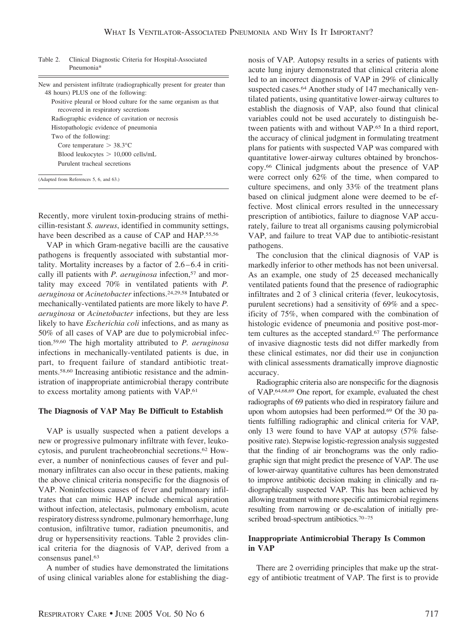Table 2. Clinical Diagnostic Criteria for Hospital-Associated Pneumonia\*

| New and persistent infiltrate (radiographically present for greater than<br>48 hours) PLUS one of the following: |
|------------------------------------------------------------------------------------------------------------------|
| Positive pleural or blood culture for the same organism as that<br>recovered in respiratory secretions           |
| Radiographic evidence of cavitation or necrosis                                                                  |
| Histopathologic evidence of pneumonia                                                                            |
| Two of the following:                                                                                            |
| Core temperature $> 38.3$ °C                                                                                     |
| Blood leukocytes $> 10,000$ cells/mL                                                                             |
| Purulent tracheal secretions                                                                                     |
| (Adapted from References 5, 6, and 63.)                                                                          |

Recently, more virulent toxin-producing strains of methicillin-resistant *S. aureus*, identified in community settings, have been described as a cause of CAP and HAP.<sup>55,56</sup>

VAP in which Gram-negative bacilli are the causative pathogens is frequently associated with substantial mortality. Mortality increases by a factor of  $2.6 - 6.4$  in critically ill patients with *P. aeruginosa* infection,<sup>57</sup> and mortality may exceed 70% in ventilated patients with *P. aeruginosa* or *Acinetobacter* infections.24,29,58 Intubated or mechanically-ventilated patients are more likely to have *P. aeruginosa* or *Acinetobacter* infections, but they are less likely to have *Escherichia coli* infections, and as many as 50% of all cases of VAP are due to polymicrobial infection.59,60 The high mortality attributed to *P. aeruginosa* infections in mechanically-ventilated patients is due, in part, to frequent failure of standard antibiotic treatments.58,60 Increasing antibiotic resistance and the administration of inappropriate antimicrobial therapy contribute to excess mortality among patients with VAP.61

## **The Diagnosis of VAP May Be Difficult to Establish**

VAP is usually suspected when a patient develops a new or progressive pulmonary infiltrate with fever, leukocytosis, and purulent tracheobronchial secretions.62 However, a number of noninfectious causes of fever and pulmonary infiltrates can also occur in these patients, making the above clinical criteria nonspecific for the diagnosis of VAP. Noninfectious causes of fever and pulmonary infiltrates that can mimic HAP include chemical aspiration without infection, atelectasis, pulmonary embolism, acute respiratory distress syndrome, pulmonary hemorrhage, lung contusion, infiltrative tumor, radiation pneumonitis, and drug or hypersensitivity reactions. Table 2 provides clinical criteria for the diagnosis of VAP, derived from a consensus panel.63

A number of studies have demonstrated the limitations of using clinical variables alone for establishing the diagnosis of VAP. Autopsy results in a series of patients with acute lung injury demonstrated that clinical criteria alone led to an incorrect diagnosis of VAP in 29% of clinically suspected cases.<sup>64</sup> Another study of 147 mechanically ventilated patients, using quantitative lower-airway cultures to establish the diagnosis of VAP, also found that clinical variables could not be used accurately to distinguish between patients with and without VAP.65 In a third report, the accuracy of clinical judgment in formulating treatment plans for patients with suspected VAP was compared with quantitative lower-airway cultures obtained by bronchoscopy.66 Clinical judgments about the presence of VAP were correct only 62% of the time, when compared to culture specimens, and only 33% of the treatment plans based on clinical judgment alone were deemed to be effective. Most clinical errors resulted in the unnecessary prescription of antibiotics, failure to diagnose VAP accurately, failure to treat all organisms causing polymicrobial VAP, and failure to treat VAP due to antibiotic-resistant pathogens.

The conclusion that the clinical diagnosis of VAP is markedly inferior to other methods has not been universal. As an example, one study of 25 deceased mechanically ventilated patients found that the presence of radiographic infiltrates and 2 of 3 clinical criteria (fever, leukocytosis, purulent secretions) had a sensitivity of 69% and a specificity of 75%, when compared with the combination of histologic evidence of pneumonia and positive post-mortem cultures as the accepted standard.<sup>67</sup> The performance of invasive diagnostic tests did not differ markedly from these clinical estimates, nor did their use in conjunction with clinical assessments dramatically improve diagnostic accuracy.

Radiographic criteria also are nonspecific for the diagnosis of VAP.64,68,69 One report, for example, evaluated the chest radiographs of 69 patients who died in respiratory failure and upon whom autopsies had been performed.69 Of the 30 patients fulfilling radiographic and clinical criteria for VAP, only 13 were found to have VAP at autopsy (57% falsepositive rate). Stepwise logistic-regression analysis suggested that the finding of air bronchograms was the only radiographic sign that might predict the presence of VAP. The use of lower-airway quantitative cultures has been demonstrated to improve antibiotic decision making in clinically and radiographically suspected VAP. This has been achieved by allowing treatment with more specific antimicrobial regimens resulting from narrowing or de-escalation of initially prescribed broad-spectrum antibiotics.<sup>70-75</sup>

# **Inappropriate Antimicrobial Therapy Is Common in VAP**

There are 2 overriding principles that make up the strategy of antibiotic treatment of VAP. The first is to provide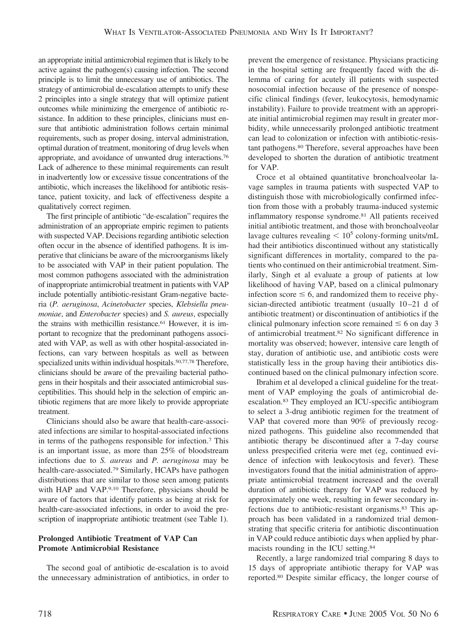an appropriate initial antimicrobial regimen that is likely to be active against the pathogen(s) causing infection. The second principle is to limit the unnecessary use of antibiotics. The strategy of antimicrobial de-escalation attempts to unify these 2 principles into a single strategy that will optimize patient outcomes while minimizing the emergence of antibiotic resistance. In addition to these principles, clinicians must ensure that antibiotic administration follows certain minimal requirements, such as proper dosing, interval administration, optimal duration of treatment, monitoring of drug levels when appropriate, and avoidance of unwanted drug interactions.76 Lack of adherence to these minimal requirements can result in inadvertently low or excessive tissue concentrations of the antibiotic, which increases the likelihood for antibiotic resistance, patient toxicity, and lack of effectiveness despite a qualitatively correct regimen.

The first principle of antibiotic "de-escalation" requires the administration of an appropriate empiric regimen to patients with suspected VAP. Decisions regarding antibiotic selection often occur in the absence of identified pathogens. It is imperative that clinicians be aware of the microorganisms likely to be associated with VAP in their patient population. The most common pathogens associated with the administration of inappropriate antimicrobial treatment in patients with VAP include potentially antibiotic-resistant Gram-negative bacteria (*P. aeruginosa*, *Acinetobacter* species, *Klebsiella pneumoniae*, and *Enterobacter* species) and *S. aureus*, especially the strains with methicillin resistance.<sup>61</sup> However, it is important to recognize that the predominant pathogens associated with VAP, as well as with other hospital-associated infections, can vary between hospitals as well as between specialized units within individual hospitals.<sup>50,77,78</sup> Therefore, clinicians should be aware of the prevailing bacterial pathogens in their hospitals and their associated antimicrobial susceptibilities. This should help in the selection of empiric antibiotic regimens that are more likely to provide appropriate treatment.

Clinicians should also be aware that health-care-associated infections are similar to hospital-associated infections in terms of the pathogens responsible for infection.7 This is an important issue, as more than 25% of bloodstream infections due to *S. aureus* and *P. aeruginosa* may be health-care-associated.79 Similarly, HCAPs have pathogen distributions that are similar to those seen among patients with HAP and VAP.9,10 Therefore, physicians should be aware of factors that identify patients as being at risk for health-care-associated infections, in order to avoid the prescription of inappropriate antibiotic treatment (see Table 1).

# **Prolonged Antibiotic Treatment of VAP Can Promote Antimicrobial Resistance**

The second goal of antibiotic de-escalation is to avoid the unnecessary administration of antibiotics, in order to

prevent the emergence of resistance. Physicians practicing in the hospital setting are frequently faced with the dilemma of caring for acutely ill patients with suspected nosocomial infection because of the presence of nonspecific clinical findings (fever, leukocytosis, hemodynamic instability). Failure to provide treatment with an appropriate initial antimicrobial regimen may result in greater morbidity, while unnecessarily prolonged antibiotic treatment can lead to colonization or infection with antibiotic-resistant pathogens.80 Therefore, several approaches have been developed to shorten the duration of antibiotic treatment for VAP.

Croce et al obtained quantitative bronchoalveolar lavage samples in trauma patients with suspected VAP to distinguish those with microbiologically confirmed infection from those with a probably trauma-induced systemic inflammatory response syndrome.81 All patients received initial antibiotic treatment, and those with bronchoalveolar lavage cultures revealing  $< 10^5$  colony-forming units/mL had their antibiotics discontinued without any statistically significant differences in mortality, compared to the patients who continued on their antimicrobial treatment. Similarly, Singh et al evaluate a group of patients at low likelihood of having VAP, based on a clinical pulmonary infection score  $\leq 6$ , and randomized them to receive physician-directed antibiotic treatment (usually 10-21 d of antibiotic treatment) or discontinuation of antibiotics if the clinical pulmonary infection score remained  $\leq 6$  on day 3 of antimicrobial treatment.82 No significant difference in mortality was observed; however, intensive care length of stay, duration of antibiotic use, and antibiotic costs were statistically less in the group having their antibiotics discontinued based on the clinical pulmonary infection score.

Ibrahim et al developed a clinical guideline for the treatment of VAP employing the goals of antimicrobial deescalation.83 They employed an ICU-specific antibiogram to select a 3-drug antibiotic regimen for the treatment of VAP that covered more than 90% of previously recognized pathogens. This guideline also recommended that antibiotic therapy be discontinued after a 7-day course unless prespecified criteria were met (eg, continued evidence of infection with leukocytosis and fever). These investigators found that the initial administration of appropriate antimicrobial treatment increased and the overall duration of antibiotic therapy for VAP was reduced by approximately one week, resulting in fewer secondary infections due to antibiotic-resistant organisms.83 This approach has been validated in a randomized trial demonstrating that specific criteria for antibiotic discontinuation in VAP could reduce antibiotic days when applied by pharmacists rounding in the ICU setting.84

Recently, a large randomized trial comparing 8 days to 15 days of appropriate antibiotic therapy for VAP was reported.80 Despite similar efficacy, the longer course of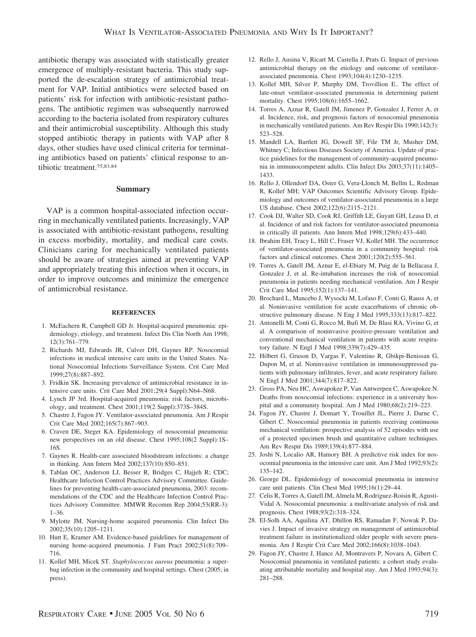antibiotic therapy was associated with statistically greater emergence of multiply-resistant bacteria. This study supported the de-escalation strategy of antimicrobial treatment for VAP. Initial antibiotics were selected based on patients' risk for infection with antibiotic-resistant pathogens. The antibiotic regimen was subsequently narrowed according to the bacteria isolated from respiratory cultures and their antimicrobial susceptibility. Although this study stopped antibiotic therapy in patients with VAP after 8 days, other studies have used clinical criteria for terminating antibiotics based on patients' clinical response to antibiotic treatment.75,83,84

#### **Summary**

VAP is a common hospital-associated infection occurring in mechanically ventilated patients. Increasingly, VAP is associated with antibiotic-resistant pathogens, resulting in excess morbidity, mortality, and medical care costs. Clinicians caring for mechanically ventilated patients should be aware of strategies aimed at preventing VAP and appropriately treating this infection when it occurs, in order to improve outcomes and minimize the emergence of antimicrobial resistance.

#### **REFERENCES**

- 1. McEachern R, Campbell GD Jr. Hospital-acquired pneumonia: epidemiology, etiology, and treatment. Infect Dis Clin North Am 1998; 12(3):761–779.
- 2. Richards MJ, Edwards JR, Culver DH, Gaynes RP. Nosocomial infections in medical intensive care units in the United States. National Nosocomial Infections Surveillance System. Crit Care Med 1999;27(8):887–892.
- 3. Fridkin SK. Increasing prevalence of antimicrobial resistance in intensive care units. Crit Care Med 2001;29(4 Suppl):N64–N68.
- 4. Lynch JP 3rd. Hospital-acquired pneumonia: risk factors, microbiology, and treatment. Chest 2001;119(2 Suppl):373S–384S.
- 5. Chastre J, Fagon JY. Ventilator-associated pneumonia. Am J Respir Crit Care Med 2002;165(7):867–903.
- 6. Craven DE, Steger KA. Epidemiology of nosocomial pneumonia: new perspectives on an old disease. Chest 1995;108(2 Suppl):1S– 16S.
- 7. Gaynes R. Health-care associated bloodstream infections: a change in thinking. Ann Intern Med 2002;137(10):850–851.
- 8. Tablan OC, Anderson LJ, Besser R, Bridges C, Hajjeh R; CDC; Healthcare Infection Control Practices Advisory Committee. Guidelines for preventing health-care-associated pneumonia, 2003: recommendations of the CDC and the Healthcare Infection Control Practices Advisory Committee. MMWR Recomm Rep 2004;53(RR-3): 1–36.
- 9. Mylotte JM. Nursing-home acquired pneumonia. Clin Infect Dis 2002;35(10):1205–1211.
- 10. Hutt E, Kramer AM. Evidence-based guidelines for management of nursing home-acquired pneumonia. J Fam Pract 2002;51(8):709– 716.
- 11. Kollef MH, Micek ST. *Staphylococcus aureus* pneumonia: a superbug infection in the community and hospital settings. Chest (2005; in press).
- 12. Rello J, Ausina V, Ricart M, Castella J, Prats G. Impact of previous antimicrobial therapy on the etiology and outcome of ventilatorassociated pneumonia. Chest 1993;104(4):1230–1235.
- 13. Kollef MH, Silver P, Murphy DM, Trovillion E.. The effect of late-onset ventilator-associated pneumonia in determining patient mortality. Chest 1995;108(6):1655–1662.
- 14. Torres A, Aznar R, Gatell JM, Jimenez P, Gonzalez J, Ferrer A, et al. Incidence, risk, and prognosis factors of nosocomial pneumonia in mechanically ventilated patients. Am Rev Respir Dis 1990;142(3): 523–528.
- 15. Mandell LA, Bartlett JG, Dowell SF, File TM Jr, Musher DM, Whitney C; Infectious Diseases Society of America. Update of practice guidelines for the management of community-acquired pneumonia in immunocompetent adults. Clin Infect Dis 2003;37(11):1405– 1433.
- 16. Rello J, Ollendorf DA, Oster G, Vera-Llonch M, Bellm L, Redman R, Kollef MH; VAP Outcomes Scientific Advisory Group. Epidemiology and outcomes of ventilator-associated pneumonia in a large US database. Chest 2002;122(6):2115–2121.
- 17. Cook DJ, Walter SD, Cook RJ, Griffith LE, Guyatt GH, Leasa D, et al. Incidence of and risk factors for ventilator-associated pneumonia in critically ill patients. Ann Intern Med 1998;129(6):433–440.
- 18. Ibrahim EH, Tracy L, Hill C, Fraser VJ, Kollef MH. The occurrence of ventilator-associated pneumonia in a community hospital: risk factors and clinical outcomes. Chest 2001;120(2):555–561.
- 19. Torres A, Gatell JM, Aznar E, el-Ebiary M, Puig de la Bellacasa J, Gonzalez J, et al. Re-intubation increases the risk of nosocomial pneumonia in patients needing mechanical ventilation. Am J Respir Crit Care Med 1995;152(1):137–141.
- 20. Brochard L, Mancebo J, Wysocki M, Lofaso F, Conti G, Rauss A, et al. Noninvasive ventilation for acute exacerbations of chronic obstructive pulmonary disease. N Eng J Med 1995;333(13):817–822.
- 21. Antonelli M, Conti G, Rocco M, Bufi M, De Blasi RA, Vivino G, et al. A comparison of noninvasive positive-pressure ventilation and conventional mechanical ventilation in patients with acute respiratory failure. N Engl J Med 1998;339(7):429–435.
- 22. Hilbert G, Gruson D, Vargas F, Valentino R, Gbikpi-Benissan G, Dupon M, et al. Noninvasive ventilation in immunosuppressed patients with pulmonary infiltrates, fever, and acute respiratory failure. N Engl J Med 2001;344(7):817–822.
- 23. Gross PA, Neu HC, Aswapokee P, Van Antwerpen C, Aswapokee N. Deaths from nosocomial infections: experience in a university hospital and a community hospital. Am J Med 1980;68(2):219–223.
- 24. Fagon JY, Chastre J, Domart Y, Trouillet JL, Pierre J, Darne C, Gibert C. Nosocomial pneumonia in patients receiving continuous mechanical ventilation: prospective analysis of 52 episodes with use of a protected specimen brush and quantitative culture techniques. Am Rev Respir Dis 1989;139(4):877–884.
- 25. Joshi N, Localio AR, Hamory BH. A predictive risk index for nosocomial pneumonia in the intensive care unit. Am J Med 1992;93(2): 135–142.
- 26. George DL. Epidemiology of nosocomial pneumonia in intensive care unit patients. Clin Chest Med 1995;16(1):29–44.
- 27. Celis R, Torres A, Gatell JM, Almela M, Rodriguez-Roisin R, Agusti-Vidal A. Nosocomial pneumonia: a multivariate analysis of risk and prognosis. Chest 1988;93(2):318–324.
- 28. El-Solh AA, Aquilina AT, Dhillon RS, Ramadan F, Nowak P, Davies J. Impact of invasive strategy on management of antimicrobial treatment failure in institutionalized older people with severe pneumonia. Am J Respir Crit Care Med 2002;166(8):1038–1043.
- 29. Fagon JY, Chastre J, Hance AJ, Montravers P, Novara A, Gibert C. Nosocomial pneumonia in ventilated patients: a cohort study evaluating attributable mortality and hospital stay. Am J Med 1993;94(3): 281–288.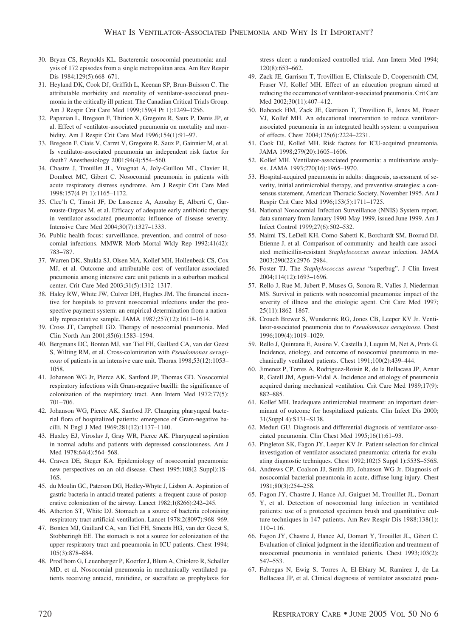- 30. Bryan CS, Reynolds KL. Bacteremic nosocomial pneumonia: analysis of 172 episodes from a single metropolitan area. Am Rev Respir Dis 1984;129(5):668–671.
- 31. Heyland DK, Cook DJ, Griffith L, Keenan SP, Brun-Buisson C. The attributable morbidity and mortality of ventilator-associated pneumonia in the critically ill patient. The Canadian Critical Trials Group. Am J Respir Crit Care Med 1999;159(4 Pt 1):1249–1256.
- 32. Papazian L, Bregeon F, Thirion X, Gregoire R, Saux P, Denis JP, et al. Effect of ventilator-associated pneumonia on mortality and morbidity. Am J Respir Crit Care Med 1996;154(1):91–97.
- 33. Bregeon F, Ciais V, Carret V, Gregoire R, Saux P, Gainnier M, et al. Is ventilator-associated pneumonia an independent risk factor for death? Anesthesiology 2001;94(4):554–560.
- 34. Chastre J, Trouillet JL, Vuagnat A, Joly-Guillou ML, Clavier H, Dombret MC, Gibert C. Nosocomial pneumonia in patients with acute respiratory distress syndrome. Am J Respir Crit Care Med 1998;157(4 Pt 1):1165–1172.
- 35. Clec'h C, Timsit JF, De Lassence A, Azoulay E, Alberti C, Garrouste-Orgeas M, et al. Efficacy of adequate early antibiotic therapy in ventilator-associated pneumonia: influence of disease severity. Intensive Care Med 2004;30(7):1327–1333.
- 36. Public health focus: surveillance, prevention, and control of nosocomial infections. MMWR Morb Mortal Wkly Rep 1992;41(42): 783–787.
- 37. Warren DK, Shukla SJ, Olsen MA, Kollef MH, Hollenbeak CS, Cox MJ, et al. Outcome and attributable cost of ventilator-associated pneumonia among intensive care unit patients in a suburban medical center. Crit Care Med 2003;31(5):1312–1317.
- 38. Haley RW, White JW, Culver DH, Hughes JM. The financial incentive for hospitals to prevent nosocomial infections under the prospective payment system: an empirical determination from a nationally representative sample. JAMA 1987;257(12):1611–1614.
- 39. Cross JT, Campbell GD. Therapy of nosocomial pneumonia. Med Clin North Am 2001;85(6):1583–1594.
- 40. Bergmans DC, Bonten MJ, van Tiel FH, Gaillard CA, van der Geest S, Wilting RM, et al. Cross-colonization with *Pseudomonas aeruginosa* of patients in an intensive care unit. Thorax 1998;53(12):1053– 1058.
- 41. Johanson WG Jr, Pierce AK, Sanford JP, Thomas GD. Nosocomial respiratory infections with Gram-negative bacilli: the significance of colonization of the respiratory tract. Ann Intern Med 1972;77(5): 701–706.
- 42. Johanson WG, Pierce AK, Sanford JP. Changing pharyngeal bacterial flora of hospitalized patients: emergence of Gram-negative bacilli. N Engl J Med 1969;281(12):1137–1140.
- 43. Huxley EJ, Viroslav J, Gray WR, Pierce AK. Pharyngeal aspiration in normal adults and patients with depressed consciousness. Am J Med 1978;64(4):564-568.
- 44. Craven DE, Steger KA. Epidemiology of nosocomial pneumonia: new perspectives on an old disease. Chest 1995;108(2 Suppl):1S– 16S.
- 45. du Moulin GC, Paterson DG, Hedley-Whyte J, Lisbon A. Aspiration of gastric bacteria in antacid-treated patients: a frequent cause of postoperative colonization of the airway. Lancet 1982;1(8266):242–245.
- 46. Atherton ST, White DJ. Stomach as a source of bacteria colonising respiratory tract artificial ventilation. Lancet 1978;2(8097):968–969.
- 47. Bonten MJ, Gaillard CA, van Tiel FH, Smeets HG, van der Geest S, Stobberingh EE. The stomach is not a source for colonization of the upper respiratory tract and pneumonia in ICU patients. Chest 1994; 105(3):878–884.
- 48. Prod'hom G, Leuenberger P, Koerfer J, Blum A, Chiolero R, Schaller MD, et al. Nosocomial pneumonia in mechanically ventilated patients receiving antacid, ranitidine, or sucralfate as prophylaxis for

stress ulcer: a randomized controlled trial. Ann Intern Med 1994; 120(8):653–662.

- 49. Zack JE, Garrison T, Trovillion E, Clinkscale D, Coopersmith CM, Fraser VJ, Kollef MH. Effect of an education program aimed at reducing the occurrence of ventilator-associated pneumonia. Crit Care Med 2002;30(11):407–412.
- 50. Babcock HM, Zack JE, Garrison T, Trovillion E, Jones M, Fraser VJ, Kollef MH. An educational intervention to reduce ventilatorassociated pneumonia in an integrated health system: a comparison of effects. Chest 2004;125(6):2224–2231.
- 51. Cook DJ, Kollef MH. Risk factors for ICU-acquired pneumonia. JAMA 1998;279(20):1605–1606.
- 52. Kollef MH. Ventilator-associated pneumonia: a multivariate analysis. JAMA 1993;270(16):1965–1970.
- 53. Hospital-acquired pneumonia in adults: diagnosis, assessment of severity, initial antimicrobial therapy, and preventive strategies: a consensus statement, American Thoracic Society, November 1995. Am J Respir Crit Care Med 1996;153(5):1711–1725.
- 54. National Nosocomial Infection Surveillance (NNIS) System report, data summary from January 1990-May 1999, issued June 1999. Am J Infect Control 1999;27(6):502–532.
- 55. Naimi TS, LeDell KH, Como-Sabetti K, Borchardt SM, Boxrud DJ, Etienne J, et al. Comparison of community- and health care-associated methicillin-resistant *Staphylococcus aureus* infection. JAMA 2003;290(22):2976–2984.
- 56. Foster TJ. The *Staphylococcus aureus* "superbug". J Clin Invest 2004;114(12):1693–1696.
- 57. Rello J, Rue M, Jubert P, Muses G, Sonora R, Valles J, Niederman MS. Survival in patients with nosocomial pneumonia: impact of the severity of illness and the etiologic agent. Crit Care Med 1997; 25(11):1862–1867.
- 58. Crouch Brewer S, Wunderink RG, Jones CB, Leeper KV Jr. Ventilator-associated pneumonia due to *Pseudomonas aeruginosa*. Chest 1996;109(4):1019–1029.
- 59. Rello J, Quintana E, Ausina V, Castella J, Luquin M, Net A, Prats G. Incidence, etiology, and outcome of nosocomial pneumonia in mechanically ventilated patients. Chest 1991;100(2):439–444.
- 60. Jimenez P, Torres A, Rodriguez-Roisin R, de la Bellacasa JP, Aznar R, Gatell JM, Agusti-Vidal A. Incidence and etiology of pneumonia acquired during mechanical ventilation. Crit Care Med 1989;17(9): 882–885.
- 61. Kollef MH. Inadequate antimicrobial treatment: an important determinant of outcome for hospitalized patients. Clin Infect Dis 2000; 31(Suppl 4):S131–S138.
- 62. Meduri GU. Diagnosis and differential diagnosis of ventilator-associated pneumonia. Clin Chest Med 1995;16(1):61–93.
- 63. Pingleton SK, Fagon JY, Leeper KV Jr. Patient selection for clinical investigation of ventilator-associated pneumonia: criteria for evaluating diagnostic techniques. Chest 1992;102(5 Suppl 1):553S–556S.
- 64. Andrews CP, Coalson JJ, Smith JD, Johanson WG Jr. Diagnosis of nosocomial bacterial pneumonia in acute, diffuse lung injury. Chest 1981;80(3):254–258.
- 65. Fagon JY, Chastre J, Hance AJ, Guiguet M, Trouillet JL, Domart Y, et al. Detection of nosocomial lung infection in ventilated patients: use of a protected specimen brush and quantitative culture techniques in 147 patients. Am Rev Respir Dis 1988;138(1): 110–116.
- 66. Fagon JY, Chastre J, Hance AJ, Domart Y, Trouillet JL, Gibert C. Evaluation of clinical judgment in the identification and treatment of nosocomial pneumonia in ventilated patients. Chest 1993;103(2): 547–553.
- 67. Fabregas N, Ewig S, Torres A, El-Ebiary M, Ramirez J, de La Bellacasa JP, et al. Clinical diagnosis of ventilator associated pneu-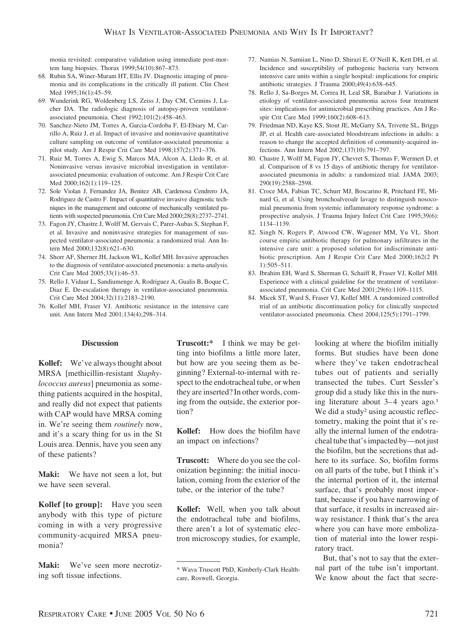monia revisited: comparative validation using immediate post-mortem lung biopsies. Thorax 1999;54(10):867–873.

- 68. Rubin SA, Winer-Muram HT, Ellis JV. Diagnostic imaging of pneumonia and its complications in the critically ill patient. Clin Chest Med 1995;16(1):45–59.
- 69. Wunderink RG, Woldenberg LS, Zeiss J, Day CM, Ciemins J, Lacher DA. The radiologic diagnosis of autopsy-proven ventilatorassociated pneumonia. Chest 1992;101(2):458–463.
- 70. Sanchez-Nieto JM, Torres A, Garcia-Cordoba F, El-Ebiary M, Carrillo A, Ruiz J, et al. Impact of invasive and noninvasive quantitative culture sampling on outcome of ventilator-associated pneumonia: a pilot study. Am J Respir Crit Care Med 1998;157(2):371–376.
- 71. Ruiz M, Torres A, Ewig S, Marcos MA, Alcon A, Lledo R, et al. Noninvasive versus invasive microbial investigation in ventilatorassociated pneumonia: evaluation of outcome. Am J Respir Crit Care Med 2000;162(1):119–125.
- 72. Sole Violan J, Fernandez JA, Benitez AB, Cardenosa Cendrero JA, Rodriguez de Castro F. Impact of quantitative invasive diagnostic techniques in the management and outcome of mechanically ventilated patients with suspected pneumonia. Crit Care Med 2000;28(8):2737–2741.
- 73. Fagon JY, Chastre J, Wolff M, Gervais C, Parer-Aubas S, Stephan F, et al. Invasive and noninvasive strategies for management of suspected ventilator-associated pneumonia: a randomized trial. Ann Intern Med 2000;132(8):621–630.
- 74. Shorr AF, Sherner JH, Jackson WL, Kollef MH. Invasive approaches to the diagnosis of ventilator-associated pneumonia: a meta-analysis. Crit Care Med 2005;33(1):46–53.
- 75. Rello J, Vidaur L, Sandiumenge A, Rodriguez A, Gualis B, Boque C, Diaz E. De-escalation therapy in ventilator-associated pneumonia. Crit Care Med 2004;32(11):2183–2190.
- 76. Kollef MH, Fraser VJ. Antibiotic resistance in the intensive care unit. Ann Intern Med 2001;134(4);298–314.
- 77. Namias N, Samiian L, Nino D, Shirazi E, O'Neill K, Kett DH, et al. Incidence and susceptibility of pathogenic bacteria vary between intensive care units within a single hospital: implications for empiric antibiotic strategies. J Trauma 2000;49(4):638–645.
- 78. Rello J, Sa-Borges M, Correa H, Leal SR, Baraibar J. Variations in etiology of ventilator-associated pneumonia across four treatment sites: implications for antimicrobial prescribing practices. Am J Respir Crit Care Med 1999;160(2):608–613.
- 79. Friedman ND, Kaye KS, Stout JE, McGarry SA, Trivette SL, Briggs JP, et al. Health care-associated bloodstream infections in adults: a reason to change the accepted definition of community-acquired infections. Ann Intern Med 2002;137(10):791–797.
- 80. Chastre J, Wolff M, Fagon JY, Chevret S, Thomas F, Wermert D, et al. Comparison of 8 vs 15 days of antibiotic therapy for ventilatorassociated pneumonia in adults: a randomized trial. JAMA 2003; 290(19):2588–2598.
- 81. Croce MA, Fabian TC, Schurr MJ, Boscarino R, Pritchard FE, Minard G, et al. Using bronchoalveoalr lavage to distinguish nosocomial pneumonia from systemic inflammatory response syndrome: a prospective analysis. J Trauma Injury Infect Crit Care 1995;39(6): 1134–1139.
- 82. Singh N, Rogers P, Atwood CW, Wagener MM, Yu VL. Short course empiric antibiotic therapy for pulmonary infiltrates in the intensive care unit: a proposed solution for indiscriminate antibiotic prescription. Am J Respir Crit Care Med 2000;162(2 Pt 1):505–511.
- 83. Ibrahim EH, Ward S, Sherman G, Schaiff R, Fraser VJ, Kollef MH. Experience with a clinical guideline for the treatment of ventilatorassociated pneumonia. Crit Care Med 2001;29(6):1109–1115.
- 84. Micek ST, Ward S, Fraser VJ, Kollef MH. A randomized controlled trial of an antibiotic discontinuation policy for clinically suspected ventilator-associated pneumonia. Chest 2004;125(5):1791–1799.

## **Discussion**

**Kollef:** We've always thought about MRSA [methicillin-resistant *Staphylococcus aureus*] pneumonia as something patients acquired in the hospital, and really did not expect that patients with CAP would have MRSA coming in. We're seeing them *routinely* now, and it's a scary thing for us in the St Louis area. Dennis, have you seen any of these patients?

**Maki:** We have not seen a lot, but we have seen several.

**Kollef [to group]:** Have you seen anybody with this type of picture coming in with a very progressive community-acquired MRSA pneumonia?

**Maki:** We've seen more necrotizing soft tissue infections.

**Truscott:\*** I think we may be getting into biofilms a little more later, but how are you seeing them as beginning? External-to-internal with respect to the endotracheal tube, or when they are inserted? In other words, coming from the outside, the exterior portion?

**Kollef:** How does the biofilm have an impact on infections?

**Truscott:** Where do you see the colonization beginning: the initial inoculation, coming from the exterior of the tube, or the interior of the tube?

**Kollef:** Well, when you talk about the endotracheal tube and biofilms, there aren't a lot of systematic electron microscopy studies, for example, looking at where the biofilm initially forms. But studies have been done where they've taken endotracheal tubes out of patients and serially transected the tubes. Curt Sessler's group did a study like this in the nursing literature about  $3-4$  years ago.<sup>1</sup> We did a study<sup>2</sup> using acoustic reflectometry, making the point that it's really the internal lumen of the endotracheal tube that's impacted by—not just the biofilm, but the secretions that adhere to its surface. So, biofilm forms on all parts of the tube, but I think it's the internal portion of it, the internal surface, that's probably most important, because if you have narrowing of that surface, it results in increased airway resistance. I think that's the area where you can have more embolization of material into the lower respiratory tract.

But, that's not to say that the external part of the tube isn't important. We know about the fact that secre-

<sup>\*</sup> Wava Truscott PhD, Kimberly-Clark Healthcare, Roswell, Georgia.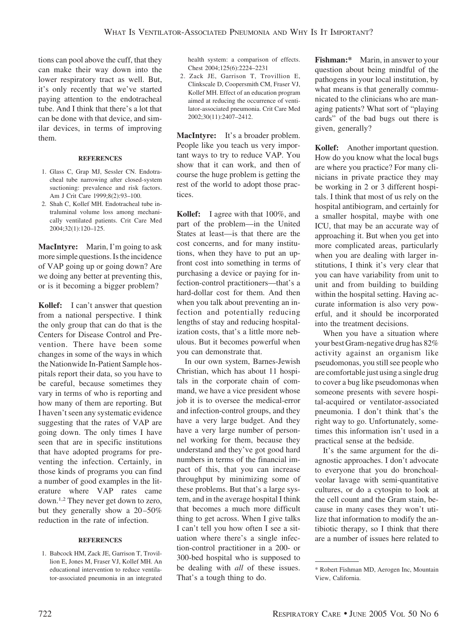tions can pool above the cuff, that they can make their way down into the lower respiratory tract as well. But, it's only recently that we've started paying attention to the endotracheal tube. And I think that there's a lot that can be done with that device, and similar devices, in terms of improving them.

#### **REFERENCES**

- 1. Glass C, Grap MJ, Sessler CN. Endotracheal tube narrowing after closed-system suctioning: prevalence and risk factors. Am J Crit Care 1999;8(2):93–100.
- 2. Shah C, Kollef MH. Endotracheal tube intraluminal volume loss among mechanically ventilated patients. Crit Care Med 2004;32(1):120–125.

**MacIntyre:** Marin, I'm going to ask more simple questions. Is the incidence of VAP going up or going down? Are we doing any better at preventing this, or is it becoming a bigger problem?

**Kollef:** I can't answer that question from a national perspective. I think the only group that can do that is the Centers for Disease Control and Prevention. There have been some changes in some of the ways in which the Nationwide In-Patient Sample hospitals report their data, so you have to be careful, because sometimes they vary in terms of who is reporting and how many of them are reporting. But I haven't seen any systematic evidence suggesting that the rates of VAP are going down. The only times I have seen that are in specific institutions that have adopted programs for preventing the infection. Certainly, in those kinds of programs you can find a number of good examples in the literature where VAP rates came down.1,2 They never get down to zero, but they generally show a  $20-50\%$ reduction in the rate of infection.

#### **REFERENCES**

1. Babcock HM, Zack JE, Garrison T, Trovillion E, Jones M, Fraser VJ, Kollef MH. An educational intervention to reduce ventilator-associated pneumonia in an integrated health system: a comparison of effects. Chest 2004;125(6):2224–2231

2. Zack JE, Garrison T, Trovillion E, Clinkscale D, Coopersmith CM, Fraser VJ, Kollef MH. Effect of an education program aimed at reducing the occurrence of ventilator-associated pneumonia. Crit Care Med 2002;30(11):2407–2412.

**MacIntyre:** It's a broader problem. People like you teach us very important ways to try to reduce VAP. You show that it can work, and then of course the huge problem is getting the rest of the world to adopt those practices.

**Kollef:** I agree with that 100%, and part of the problem—in the United States at least—is that there are the cost concerns, and for many institutions, when they have to put an upfront cost into something in terms of purchasing a device or paying for infection-control practitioners—that's a hard-dollar cost for them. And then when you talk about preventing an infection and potentially reducing lengths of stay and reducing hospitalization costs, that's a little more nebulous. But it becomes powerful when you can demonstrate that.

In our own system, Barnes-Jewish Christian, which has about 11 hospitals in the corporate chain of command, we have a vice president whose job it is to oversee the medical-error and infection-control groups, and they have a very large budget. And they have a very large number of personnel working for them, because they understand and they've got good hard numbers in terms of the financial impact of this, that you can increase throughput by minimizing some of these problems. But that's a large system, and in the average hospital I think that becomes a much more difficult thing to get across. When I give talks I can't tell you how often I see a situation where there's a single infection-control practitioner in a 200- or 300-bed hospital who is supposed to be dealing with *all* of these issues. That's a tough thing to do.

**Fishman:\*** Marin, in answer to your question about being mindful of the pathogens in your local institution, by what means is that generally communicated to the clinicians who are managing patients? What sort of "playing cards" of the bad bugs out there is given, generally?

**Kollef:** Another important question. How do you know what the local bugs are where you practice? For many clinicians in private practice they may be working in 2 or 3 different hospitals. I think that most of us rely on the hospital antibiogram, and certainly for a smaller hospital, maybe with one ICU, that may be an accurate way of approaching it. But when you get into more complicated areas, particularly when you are dealing with larger institutions, I think it's very clear that you can have variability from unit to unit and from building to building within the hospital setting. Having accurate information is also very powerful, and it should be incorporated into the treatment decisions.

When you have a situation where your best Gram-negative drug has 82% activity against an organism like pseudomonas, you still see people who are comfortable just using a single drug to cover a bug like pseudomonas when someone presents with severe hospital-acquired or ventilator-associated pneumonia. I don't think that's the right way to go. Unfortunately, sometimes this information isn't used in a practical sense at the bedside.

It's the same argument for the diagnostic approaches. I don't advocate to everyone that you do bronchoalveolar lavage with semi-quantitative cultures, or do a cytospin to look at the cell count and the Gram stain, because in many cases they won't utilize that information to modify the antibiotic therapy, so I think that there are a number of issues here related to

<sup>\*</sup> Robert Fishman MD, Aerogen Inc, Mountain View, California.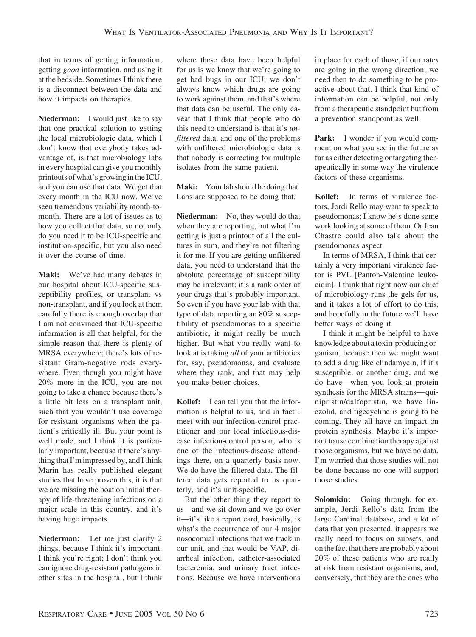that in terms of getting information, getting *good* information, and using it at the bedside. Sometimes I think there is a disconnect between the data and how it impacts on therapies.

**Niederman:** I would just like to say that one practical solution to getting the local microbiologic data, which I don't know that everybody takes advantage of, is that microbiology labs in every hospital can give you monthly printouts of what's growing in the ICU, and you can use that data. We get that every month in the ICU now. We've seen tremendous variability month-tomonth. There are a lot of issues as to how you collect that data, so not only do you need it to be ICU-specific and institution-specific, but you also need it over the course of time.

**Maki:** We've had many debates in our hospital about ICU-specific susceptibility profiles, or transplant vs non-transplant, and if you look at them carefully there is enough overlap that I am not convinced that ICU-specific information is all that helpful, for the simple reason that there is plenty of MRSA everywhere; there's lots of resistant Gram-negative rods everywhere. Even though you might have 20% more in the ICU, you are not going to take a chance because there's a little bit less on a transplant unit, such that you wouldn't use coverage for resistant organisms when the patient's critically ill. But your point is well made, and I think it is particularly important, because if there's anything that I'm impressed by, and I think Marin has really published elegant studies that have proven this, it is that we are missing the boat on initial therapy of life-threatening infections on a major scale in this country, and it's having huge impacts.

**Niederman:** Let me just clarify 2 things, because I think it's important. I think you're right; I don't think you can ignore drug-resistant pathogens in other sites in the hospital, but I think

where these data have been helpful for us is we know that we're going to get bad bugs in our ICU; we don't always know which drugs are going to work against them, and that's where that data can be useful. The only caveat that I think that people who do this need to understand is that it's *unfiltered* data, and one of the problems with unfiltered microbiologic data is that nobody is correcting for multiple isolates from the same patient.

**Maki:** Your lab should be doing that. Labs are supposed to be doing that.

**Niederman:** No, they would do that when they are reporting, but what I'm getting is just a printout of all the cultures in sum, and they're not filtering it for me. If you are getting unfiltered data, you need to understand that the absolute percentage of susceptibility may be irrelevant; it's a rank order of your drugs that's probably important. So even if you have your lab with that type of data reporting an 80% susceptibility of pseudomonas to a specific antibiotic, it might really be much higher. But what you really want to look at is taking *all* of your antibiotics for, say, pseudomonas, and evaluate where they rank, and that may help you make better choices.

**Kollef:** I can tell you that the information is helpful to us, and in fact I meet with our infection-control practitioner and our local infectious-disease infection-control person, who is one of the infectious-disease attendings there, on a quarterly basis now. We do have the filtered data. The filtered data gets reported to us quarterly, and it's unit-specific.

But the other thing they report to us—and we sit down and we go over it—it's like a report card, basically, is what's the occurrence of our 4 major nosocomial infections that we track in our unit, and that would be VAP, diarrheal infection, catheter-associated bacteremia, and urinary tract infections. Because we have interventions in place for each of those, if our rates are going in the wrong direction, we need then to do something to be proactive about that. I think that kind of information can be helpful, not only from a therapeutic standpoint but from a prevention standpoint as well.

**Park:** I wonder if you would comment on what you see in the future as far as either detecting or targeting therapeutically in some way the virulence factors of these organisms.

**Kollef:** In terms of virulence factors, Jordi Rello may want to speak to pseudomonas; I know he's done some work looking at some of them. Or Jean Chastre could also talk about the pseudomonas aspect.

In terms of MRSA, I think that certainly a very important virulence factor is PVL [Panton-Valentine leukocidin]. I think that right now our chief of microbiology runs the gels for us, and it takes a lot of effort to do this, and hopefully in the future we'll have better ways of doing it.

I think it might be helpful to have knowledge about atoxin-producing organism, because then we might want to add a drug like clindamycin, if it's susceptible, or another drug, and we do have—when you look at protein synthesis for the MRSA strains— quinipristin/dalfopristin, we have linezolid, and tigecycline is going to be coming. They all have an impact on protein synthesis. Maybe it's important to use combination therapy against those organisms, but we have no data. I'm worried that those studies will not be done because no one will support those studies.

**Solomkin:** Going through, for example, Jordi Rello's data from the large Cardinal database, and a lot of data that you presented, it appears we really need to focus on subsets, and on the fact that there are probably about 20% of these patients who are really at risk from resistant organisms, and, conversely, that they are the ones who